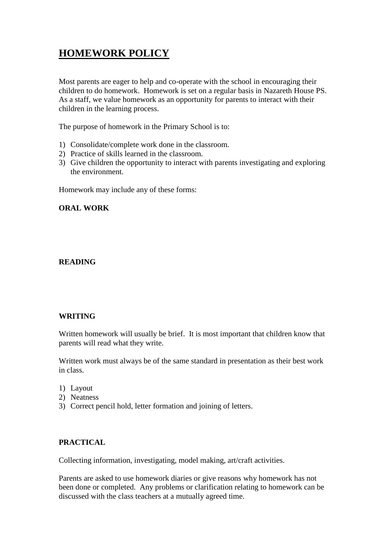# **HOMEWORK POLICY**

Most parents are eager to help and co-operate with the school in encouraging their children to do homework. Homework is set on a regular basis in Nazareth House PS. As a staff, we value homework as an opportunity for parents to interact with their children in the learning process.

The purpose of homework in the Primary School is to:

- 1) Consolidate/complete work done in the classroom.
- 2) Practice of skills learned in the classroom.
- 3) Give children the opportunity to interact with parents investigating and exploring the environment.

Homework may include any of these forms:

# **ORAL WORK**

### **READING**

#### **WRITING**

Written homework will usually be brief. It is most important that children know that parents will read what they write.

Written work must always be of the same standard in presentation as their best work in class.

- 1) Layout
- 2) Neatness
- 3) Correct pencil hold, letter formation and joining of letters.

# **PRACTICAL**

Collecting information, investigating, model making, art/craft activities.

Parents are asked to use homework diaries or give reasons why homework has not been done or completed. Any problems or clarification relating to homework can be discussed with the class teachers at a mutually agreed time.